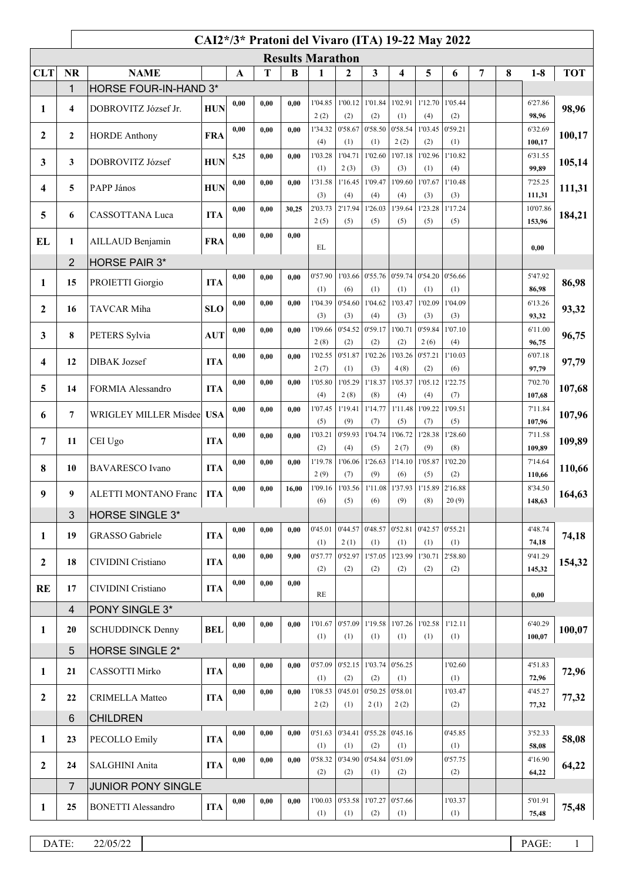|                  | CAI2*/3* Pratoni del Vivaro (ITA) 19-22 May 2022 |                              |            |      |      |       |                 |                |                   |                                         |                 |                |   |   |                   |            |
|------------------|--------------------------------------------------|------------------------------|------------|------|------|-------|-----------------|----------------|-------------------|-----------------------------------------|-----------------|----------------|---|---|-------------------|------------|
|                  | <b>Results Marathon</b>                          |                              |            |      |      |       |                 |                |                   |                                         |                 |                |   |   |                   |            |
| <b>CLT</b>       | <b>NR</b>                                        | <b>NAME</b><br>T<br>B<br>A   |            |      |      |       |                 | $\overline{2}$ | 3                 | 4                                       | 5               | 6              | 7 | 8 | $1-8$             | <b>TOT</b> |
|                  | 1                                                | HORSE FOUR-IN-HAND 3*        |            |      |      |       |                 |                |                   |                                         |                 |                |   |   |                   |            |
| 1                | $\overline{4}$                                   | DOBROVITZ József Jr.         | <b>HUN</b> | 0,00 | 0.00 | 0.00  | 1'04.85         | 1'00.12        | 1'01.84           | 1'02.91                                 | 1'12.70         | 1'05.44        |   |   | 6'27.86           | 98,96      |
|                  |                                                  |                              |            |      |      |       | 2(2)            | (2)            | (2)               | (1)                                     | (4)             | (2)            |   |   | 98,96             |            |
| $\boldsymbol{2}$ | $\mathbf{2}$                                     | <b>HORDE Anthony</b>         | <b>FRA</b> | 0,00 | 0,00 | 0.00  | 1'34.32<br>(4)  | 0'58.67        | 0'58.50           | 0'58.54<br>2(2)                         | 1'03.45<br>(2)  | 0'59.21<br>(1) |   |   | 6'32.69<br>100,17 | 100,17     |
|                  |                                                  |                              |            | 5,25 | 0,00 | 0,00  | 1'03.28         | (1)<br>1'04.71 | (1)<br>1'02.60    | 1'07.18                                 | 1'02.96         | 1'10.82        |   |   | 6'31.55           |            |
| 3                | 3                                                | DOBROVITZ József             | <b>HUN</b> |      |      |       | (1)             | 2(3)           | (3)               | (3)                                     | (1)             | (4)            |   |   | 99,89             | 105,14     |
|                  |                                                  |                              |            | 0,00 | 0,00 | 0.00  | 1'31.58         | 1'16.45        | 1'09.47           | 1'09.60                                 | 1'07.67         | 1'10.48        |   |   | 7'25.25           |            |
| 4                | 5                                                | PAPP János                   | <b>HUN</b> |      |      |       | (3)             | (4)            | (4)               | (4)                                     | (3)             | (3)            |   |   | 111,31            | 111,31     |
| 5                | 6                                                | CASSOTTANA Luca              | <b>ITA</b> | 0,00 | 0,00 | 30,25 | 2'03.73         | 2'17.94        | 1'26.03           | 1'39.64                                 | 1'23.28         | 1'17.24        |   |   | 10'07.86          | 184,21     |
|                  |                                                  |                              |            |      |      |       | 2(5)            | (5)            | (5)               | (5)                                     | (5)             | (5)            |   |   | 153,96            |            |
| EL               | 1                                                | AILLAUD Benjamin             | <b>FRA</b> | 0,00 | 0,00 | 0,00  | EL              |                |                   |                                         |                 |                |   |   | 0,00              |            |
|                  | $\overline{2}$                                   | <b>HORSE PAIR 3*</b>         |            |      |      |       |                 |                |                   |                                         |                 |                |   |   |                   |            |
|                  |                                                  |                              |            | 0,00 | 0,00 | 0.00  | 0'57.90         | 1'03.66        | 0.55.76           | 0'59.74                                 | 0'54.20         | 0'56.66        |   |   | 5'47.92           |            |
| 1                | 15                                               | PROIETTI Giorgio             | <b>ITA</b> |      |      |       | (1)             | (6)            | (1)               | (1)                                     | (1)             | (1)            |   |   | 86,98             | 86,98      |
|                  |                                                  |                              | <b>SLO</b> | 0,00 | 0,00 | 0,00  | 1'04.39         | 0'54.60        | 1'04.62           | 1'03.47                                 | 1'02.09         | 1'04.09        |   |   | 6'13.26           |            |
| $\mathbf{2}$     | 16                                               | TAVCAR Miha                  |            |      |      |       | (3)             | (3)            | (4)               | (3)                                     | (3)             | (3)            |   |   | 93,32             | 93,32      |
| 3                | 8                                                | PETERS Sylvia                | <b>AUT</b> | 0,00 | 0,00 | 0.00  | 1'09.66         | 0'54.52        | 0'59.17           | 1'00.71                                 | 0'59.84         | 1'07.10        |   |   | 6'11.00           | 96,75      |
|                  |                                                  |                              |            |      |      |       | 2(8)            | (2)            | (2)               | (2)                                     | 2(6)            | (4)            |   |   | 96,75             |            |
| 4                | 12                                               | DIBAK Jozsef                 | <b>ITA</b> | 0,00 | 0,00 | 0,00  | 1'02.55<br>2(7) | 0'51.87<br>(1) | 1'02.26<br>(3)    | 1'03.26<br>4(8)                         | 0'57.21<br>(2)  | 1'10.03<br>(6) |   |   | 6'07.18<br>97,79  | 97,79      |
|                  |                                                  |                              |            | 0,00 | 0,00 | 0.00  | 1'05.80         | 1'05.29        | 1'18.37           | 1'05.37                                 | 1'05.12         | 1'22.75        |   |   | 7'02.70           |            |
| 5                | 14                                               | FORMIA Alessandro            | <b>ITA</b> |      |      |       | (4)             | 2(8)           | (8)               | (4)                                     | (4)             | (7)            |   |   | 107,68            | 107,68     |
|                  |                                                  |                              |            | 0,00 | 0,00 | 0.00  | 1'07.45         | 1'19.41        | 1'14.77           | 1'11.48                                 | 1'09.22         | 1'09.51        |   |   | 7'11.84           |            |
| 6                | $\overline{7}$                                   | <b>WRIGLEY MILLER Misdee</b> | <b>USA</b> |      |      |       | (5)             | (9)            | (7)               | (5)                                     | (7)             | (5)            |   |   | 107,96            | 107,96     |
| 7                | 11                                               | CEI Ugo                      | <b>ITA</b> | 0,00 | 0,00 | 0.00  | 1'03.21         | 0'59.93        | 1'04.74           | 1'06.72                                 | 1'28.38         | 1'28.60        |   |   | 7'11.58           | 109,89     |
|                  |                                                  |                              |            |      |      |       | (2)             | (4)            | (5)               | 2(7)                                    | (9)             | (8)            |   |   | 109,89            |            |
| 8                | 10                                               | <b>BAVARESCO</b> Ivano       | <b>ITA</b> | 0.00 | 0,00 | 0,00  | 1'19.78<br>2(9) | 1'06.06<br>(7) | 1'26.63<br>(9)    | 1'14.10<br>(6)                          | 1'05.87<br>(5)  | 1'02.20<br>(2) |   |   | 7'14.64           | 110,66     |
|                  |                                                  |                              |            | 0,00 | 0,00 | 16,00 | 1'09.16         |                |                   | 1'03.56 1'11.08 1'37.93 1'15.89 2'16.88 |                 |                |   |   | 110,66<br>8'34.50 |            |
| 9                | 9                                                | <b>ALETTI MONTANO Franc</b>  | <b>ITA</b> |      |      |       | (6)             | (5)            | (6)               | (9)                                     | (8)             | 20(9)          |   |   | 148,63            | 164,63     |
|                  | 3                                                | <b>HORSE SINGLE 3*</b>       |            |      |      |       |                 |                |                   |                                         |                 |                |   |   |                   |            |
| 1                | 19                                               | <b>GRASSO</b> Gabriele       | <b>ITA</b> | 0.00 | 0,00 | 0,00  | 0'45.01         | 0'44.57        | 0'48.57           | 0'52.81                                 | 0'42.57 0'55.21 |                |   |   | 4'48.74           | 74,18      |
|                  |                                                  |                              |            |      |      |       | (1)             | 2(1)           | (1)               | (1)                                     | (1)             | (1)            |   |   | 74,18             |            |
| $\mathbf{2}$     | 18                                               | CIVIDINI Cristiano           | <b>ITA</b> | 0,00 | 0,00 | 9,00  | 0'57.77         | 0'52.97        | 1'57.05           | 1'23.99                                 | 1'30.71         | 2'58.80        |   |   | 9'41.29           | 154,32     |
|                  |                                                  |                              |            |      |      |       | (2)             | (2)            | (2)               | (2)                                     | (2)             | (2)            |   |   | 145,32            |            |
| <b>RE</b>        | 17                                               | CIVIDINI Cristiano           | <b>ITA</b> | 0,00 | 0,00 | 0,00  | RE              |                |                   |                                         |                 |                |   |   | 0,00              |            |
|                  | $\overline{4}$                                   | PONY SINGLE 3*               |            |      |      |       |                 |                |                   |                                         |                 |                |   |   |                   |            |
|                  |                                                  |                              |            | 0,00 | 0.00 | 0.00  | 1'01.67         | 0'57.09        | 1'19.58           |                                         | 1'07.26 1'02.58 | 1'12.11        |   |   | 6'40.29           |            |
| 1                | 20                                               | <b>SCHUDDINCK Denny</b>      | <b>BEL</b> |      |      |       | (1)             | (1)            | (1)               | (1)                                     | (1)             | (1)            |   |   | 100,07            | 100,07     |
|                  | 5                                                | <b>HORSE SINGLE 2*</b>       |            |      |      |       |                 |                |                   |                                         |                 |                |   |   |                   |            |
| 1                | 21                                               | CASSOTTI Mirko               | <b>ITA</b> | 0,00 | 0,00 | 0.00  | 0'57.09         | 0'52.15        | 1'03.74           | 0'56.25                                 |                 | 1'02.60        |   |   | 4'51.83           | 72,96      |
|                  |                                                  |                              |            |      |      |       | (1)             | (2)            | (2)               | (1)                                     |                 | (1)            |   |   | 72,96             |            |
| $\overline{2}$   | 22                                               | <b>CRIMELLA Matteo</b>       | <b>ITA</b> | 0,00 | 0,00 | 0.00  | 1'08.53         | 0'45.01        | 0'50.25           | 0'58.01                                 |                 | 1'03.47        |   |   | 4'45.27           | 77,32      |
|                  |                                                  |                              |            |      |      |       | 2(2)            | (1)            | 2(1)              | 2(2)                                    |                 | (2)            |   |   | 77,32             |            |
|                  | 6                                                | <b>CHILDREN</b>              |            | 0,00 | 0,00 | 0,00  | 0'51.63         | 0'34.41        | 0.55.28           | 0'45.16                                 |                 | 0'45.85        |   |   | 3'52.33           |            |
| 1                | 23                                               | PECOLLO Emily                | <b>ITA</b> |      |      |       | (1)             | (1)            | (2)               | (1)                                     |                 | (1)            |   |   | 58,08             | 58,08      |
|                  |                                                  |                              |            | 0,00 | 0,00 | 0.00  | 0'58.32         |                | 0'34.90 0'54.84   | 0'51.09                                 |                 | 0'57.75        |   |   | 4'16.90           |            |
| $\mathbf{2}$     | 24                                               | SALGHINI Anita               | <b>ITA</b> |      |      |       | (2)             | (2)            | (1)               | (2)                                     |                 | (2)            |   |   | 64,22             | 64,22      |
|                  | $\overline{7}$                                   | <b>JUNIOR PONY SINGLE</b>    |            |      |      |       |                 |                |                   |                                         |                 |                |   |   |                   |            |
| 1                | 25                                               | <b>BONETTI Alessandro</b>    | <b>ITA</b> | 0,00 | 0,00 | 0,00  | 1'00.03         |                | $0'53.58$ 1'07.27 | 0'57.66                                 |                 | 1'03.37        |   |   | 5'01.91           | 75,48      |
|                  |                                                  |                              |            |      |      |       | (1)             | (1)            | (2)               | (1)                                     |                 | (1)            |   |   | 75,48             |            |
|                  |                                                  |                              |            |      |      |       |                 |                |                   |                                         |                 |                |   |   |                   |            |